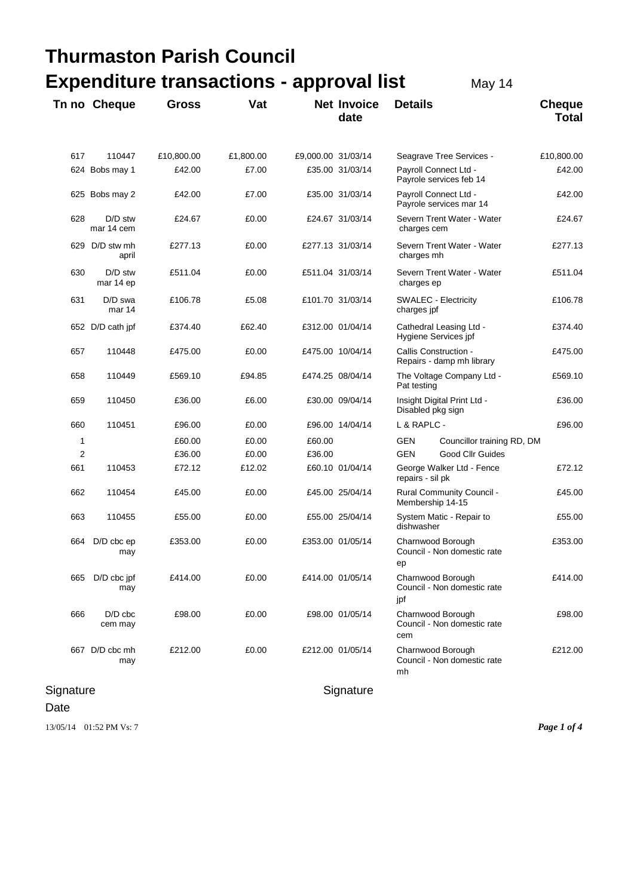| <b>Thurmaston Parish Council</b>                          |                         |              |           |                    |                            |                                                         |                                                  |                               |
|-----------------------------------------------------------|-------------------------|--------------|-----------|--------------------|----------------------------|---------------------------------------------------------|--------------------------------------------------|-------------------------------|
| <b>Expenditure transactions - approval list</b><br>May 14 |                         |              |           |                    |                            |                                                         |                                                  |                               |
|                                                           | Tn no Cheque            | <b>Gross</b> | Vat       |                    | <b>Net Invoice</b><br>date | <b>Details</b>                                          |                                                  | <b>Cheque</b><br><b>Total</b> |
| 617                                                       | 110447                  | £10,800.00   | £1,800.00 | £9,000.00 31/03/14 |                            |                                                         | Seagrave Tree Services -                         | £10,800.00                    |
|                                                           | 624 Bobs may 1          | £42.00       | £7.00     |                    | £35.00 31/03/14            |                                                         | Payroll Connect Ltd -<br>Payrole services feb 14 | £42.00                        |
|                                                           | 625 Bobs may 2          | £42.00       | £7.00     |                    | £35.00 31/03/14            | Payroll Connect Ltd -<br>Payrole services mar 14        |                                                  | £42.00                        |
| 628                                                       | D/D stw<br>mar 14 cem   | £24.67       | £0.00     |                    | £24.67 31/03/14            | Severn Trent Water - Water<br>charges cem               |                                                  | £24.67                        |
|                                                           | 629 D/D stw mh<br>april | £277.13      | £0.00     |                    | £277.13 31/03/14           | Severn Trent Water - Water<br>charges mh                |                                                  | £277.13                       |
| 630                                                       | D/D stw<br>mar 14 ep    | £511.04      | £0.00     |                    | £511.04 31/03/14           | Severn Trent Water - Water<br>charges ep                |                                                  | £511.04                       |
| 631                                                       | $D/D$ swa<br>mar 14     | £106.78      | £5.08     |                    | £101.70 31/03/14           | <b>SWALEC - Electricity</b><br>charges jpf              |                                                  | £106.78                       |
|                                                           | 652 D/D cath jpf        | £374.40      | £62.40    |                    | £312.00 01/04/14           | Cathedral Leasing Ltd -<br>Hygiene Services jpf         |                                                  | £374.40                       |
| 657                                                       | 110448                  | £475.00      | £0.00     |                    | £475.00 10/04/14           | Callis Construction -<br>Repairs - damp mh library      |                                                  | £475.00                       |
| 658                                                       | 110449                  | £569.10      | £94.85    |                    | £474.25 08/04/14           | The Voltage Company Ltd -<br>Pat testing                |                                                  | £569.10                       |
| 659                                                       | 110450                  | £36.00       | £6.00     |                    | £30.00 09/04/14            | Insight Digital Print Ltd -<br>Disabled pkg sign        |                                                  | £36.00                        |
| 660                                                       | 110451                  | £96.00       | £0.00     |                    | £96.00 14/04/14            | L & RAPLC -                                             |                                                  | £96.00                        |
| 1                                                         |                         | £60.00       | £0.00     | £60.00             |                            | GEN                                                     | Councillor training RD, DM                       |                               |
| 2                                                         |                         | £36.00       | £0.00     | £36.00             |                            | <b>GEN</b>                                              | Good Cllr Guides                                 |                               |
| 661                                                       | 110453                  | £72.12       | £12.02    |                    | £60.10 01/04/14            | George Walker Ltd - Fence<br>repairs - sil pk           |                                                  | £72.12                        |
| 662                                                       | 110454                  | £45.00       | £0.00     |                    | £45.00 25/04/14            | <b>Rural Community Council -</b><br>Membership 14-15    |                                                  | £45.00                        |
| 663                                                       | 110455                  | £55.00       | £0.00     |                    | £55.00 25/04/14            | System Matic - Repair to<br>dishwasher                  |                                                  | £55.00                        |
| 664                                                       | $D/D$ cbc $ep$<br>may   | £353.00      | £0.00     |                    | £353.00 01/05/14           | Charnwood Borough<br>Council - Non domestic rate<br>ep  |                                                  | £353.00                       |
| 665                                                       | D/D cbc jpf<br>may      | £414.00      | £0.00     |                    | £414.00 01/05/14           | Charnwood Borough<br>Council - Non domestic rate<br>jpf |                                                  | £414.00                       |
| 666                                                       | $D/D$ cbc<br>cem may    | £98.00       | £0.00     |                    | £98.00 01/05/14            | Charnwood Borough<br>Council - Non domestic rate<br>cem |                                                  | £98.00                        |
|                                                           | 667 D/D cbc mh<br>may   | £212.00      | £0.00     |                    | £212.00 01/05/14           | mh                                                      | Charnwood Borough<br>Council - Non domestic rate | £212.00                       |

# Signature Signature Signature

Date

13/05/14 01:52 PM Vs: 7 *Page 1 of 4*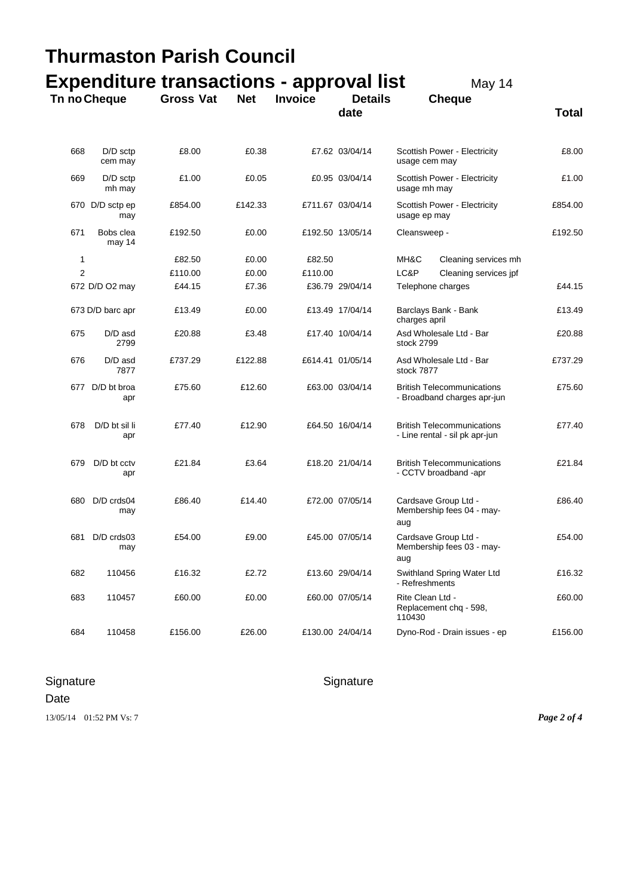| <b>Thurmaston Parish Council</b> |                        |                                                                     |            |                |                  |                                                                     |              |
|----------------------------------|------------------------|---------------------------------------------------------------------|------------|----------------|------------------|---------------------------------------------------------------------|--------------|
|                                  | Tn no Cheque           | <b>Expenditure transactions - approval list</b><br><b>Gross Vat</b> | <b>Net</b> | <b>Invoice</b> | <b>Details</b>   | May 14<br><b>Cheque</b>                                             |              |
|                                  |                        |                                                                     |            |                | date             |                                                                     | <b>Total</b> |
| 668                              | $D/D$ sctp<br>cem may  | £8.00                                                               | £0.38      |                | £7.62 03/04/14   | Scottish Power - Electricity<br>usage cem may                       | £8.00        |
| 669                              | $D/D$ sctp<br>mh may   | £1.00                                                               | £0.05      |                | £0.95 03/04/14   | Scottish Power - Electricity<br>usage mh may                        | £1.00        |
|                                  | 670 D/D sctp ep<br>may | £854.00                                                             | £142.33    |                | £711.67 03/04/14 | Scottish Power - Electricity<br>usage ep may                        | £854.00      |
| 671                              | Bobs clea<br>may 14    | £192.50                                                             | £0.00      |                | £192.50 13/05/14 | Cleansweep -                                                        | £192.50      |
| 1                                |                        | £82.50                                                              | £0.00      | £82.50         |                  | MH&C<br>Cleaning services mh                                        |              |
| $\overline{2}$                   |                        | £110.00                                                             | £0.00      | £110.00        |                  | LC&P<br>Cleaning services jpf                                       |              |
|                                  | 672 D/D O2 may         | £44.15                                                              | £7.36      |                | £36.79 29/04/14  | Telephone charges                                                   | £44.15       |
|                                  | 673 D/D barc apr       | £13.49                                                              | £0.00      |                | £13.49 17/04/14  | Barclays Bank - Bank<br>charges april                               | £13.49       |
| 675                              | D/D asd<br>2799        | £20.88                                                              | £3.48      |                | £17.40 10/04/14  | Asd Wholesale Ltd - Bar<br>stock 2799                               | £20.88       |
| 676                              | D/D asd<br>7877        | £737.29                                                             | £122.88    |                | £614.41 01/05/14 | Asd Wholesale Ltd - Bar<br>stock 7877                               | £737.29      |
| 677                              | D/D bt broa<br>apr     | £75.60                                                              | £12.60     |                | £63.00 03/04/14  | <b>British Telecommunications</b><br>- Broadband charges apr-jun    | £75.60       |
| 678                              | D/D bt sil li<br>apr   | £77.40                                                              | £12.90     |                | £64.50 16/04/14  | <b>British Telecommunications</b><br>- Line rental - sil pk apr-jun | £77.40       |
| 679                              | D/D bt cctv<br>apr     | £21.84                                                              | £3.64      |                | £18.20 21/04/14  | <b>British Telecommunications</b><br>- CCTV broadband -apr          | £21.84       |
| 680                              | D/D crds04<br>may      | £86.40                                                              | £14.40     |                | £72.00 07/05/14  | Cardsave Group Ltd -<br>Membership fees 04 - may-<br>aug            | £86.40       |
| 681                              | D/D crds03<br>may      | £54.00                                                              | £9.00      |                | £45.00 07/05/14  | Cardsave Group Ltd -<br>Membership fees 03 - may-<br>aug            | £54.00       |
| 682                              | 110456                 | £16.32                                                              | £2.72      |                | £13.60 29/04/14  | Swithland Spring Water Ltd<br>- Refreshments                        | £16.32       |
| 683                              | 110457                 | £60.00                                                              | £0.00      |                | £60.00 07/05/14  | Rite Clean Ltd -<br>Replacement chq - 598,<br>110430                | £60.00       |
| 684                              | 110458                 | £156.00                                                             | £26.00     |                | £130.00 24/04/14 | Dyno-Rod - Drain issues - ep                                        | £156.00      |

## Signature Signature Signature

Date

13/05/14 01:52 PM Vs: 7 *Page 2 of 4*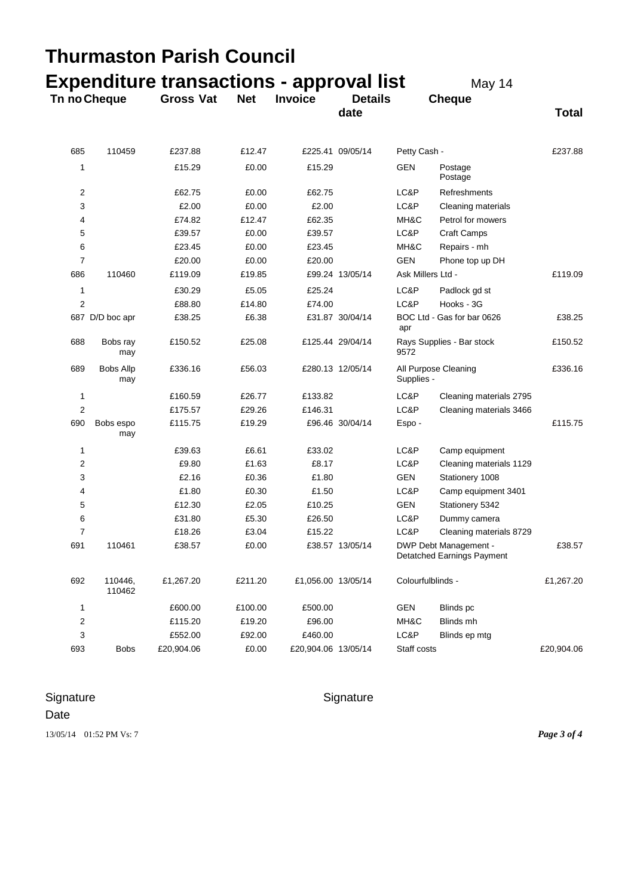| Thurmaston Parish Council |                         |                                                 |            |                     |                  |                                   |                                                     |              |
|---------------------------|-------------------------|-------------------------------------------------|------------|---------------------|------------------|-----------------------------------|-----------------------------------------------------|--------------|
|                           |                         | <b>Expenditure transactions - approval list</b> |            | <b>Invoice</b>      | <b>Details</b>   |                                   | May 14                                              |              |
|                           | Tn no Cheque            | <b>Gross Vat</b>                                | <b>Net</b> |                     | date             |                                   | <b>Cheque</b>                                       | <b>Total</b> |
| 685                       | 110459                  | £237.88                                         | £12.47     |                     | £225.41 09/05/14 | Petty Cash -                      |                                                     | £237.88      |
| 1                         |                         | £15.29                                          | £0.00      | £15.29              |                  | GEN                               | Postage<br>Postage                                  |              |
| 2                         |                         | £62.75                                          | £0.00      | £62.75              |                  | LC&P                              | Refreshments                                        |              |
| 3                         |                         | £2.00                                           | £0.00      | £2.00               |                  | LC&P                              | Cleaning materials                                  |              |
| 4                         |                         | £74.82                                          | £12.47     | £62.35              |                  | MH&C                              | Petrol for mowers                                   |              |
| 5                         |                         | £39.57                                          | £0.00      | £39.57              |                  | LC&P                              | <b>Craft Camps</b>                                  |              |
| 6                         |                         | £23.45                                          | £0.00      | £23.45              |                  | MH&C                              | Repairs - mh                                        |              |
| 7                         |                         | £20.00                                          | £0.00      | £20.00              |                  | <b>GEN</b>                        | Phone top up DH                                     |              |
| 686                       | 110460                  | £119.09                                         | £19.85     |                     | £99.24 13/05/14  | Ask Millers Ltd -                 |                                                     | £119.09      |
| 1                         |                         | £30.29                                          | £5.05      | £25.24              |                  | LC&P                              | Padlock gd st                                       |              |
| $\overline{2}$            |                         | £88.80                                          | £14.80     | £74.00              |                  | LC&P                              | Hooks - 3G                                          |              |
|                           | 687 D/D boc apr         | £38.25                                          | £6.38      |                     | £31.87 30/04/14  | apr                               | BOC Ltd - Gas for bar 0626                          | £38.25       |
| 688                       | Bobs ray<br>may         | £150.52                                         | £25.08     |                     | £125.44 29/04/14 | Rays Supplies - Bar stock<br>9572 |                                                     | £150.52      |
| 689                       | <b>Bobs Allp</b><br>may | £336.16                                         | £56.03     |                     | £280.13 12/05/14 | Supplies -                        | All Purpose Cleaning                                |              |
| 1                         |                         | £160.59                                         | £26.77     | £133.82             |                  | LC&P                              | Cleaning materials 2795                             |              |
| $\overline{2}$            |                         | £175.57                                         | £29.26     | £146.31             |                  | LC&P                              | Cleaning materials 3466                             |              |
| 690                       | Bobs espo<br>may        | £115.75                                         | £19.29     |                     | £96.46 30/04/14  | Espo-                             |                                                     | £115.75      |
| 1                         |                         | £39.63                                          | £6.61      | £33.02              |                  | LC&P                              | Camp equipment                                      |              |
| 2                         |                         | £9.80                                           | £1.63      | £8.17               |                  | LC&P                              | Cleaning materials 1129                             |              |
| 3                         |                         | £2.16                                           | £0.36      | £1.80               |                  | <b>GEN</b>                        | Stationery 1008                                     |              |
| 4                         |                         | £1.80                                           | £0.30      | £1.50               |                  | LC&P                              | Camp equipment 3401                                 |              |
| 5                         |                         | £12.30                                          | £2.05      | £10.25              |                  | GEN                               | Stationery 5342                                     |              |
| 6                         |                         | £31.80                                          | £5.30      | £26.50              |                  | LC&P                              | Dummy camera                                        |              |
| 7                         |                         | £18.26                                          | £3.04      | £15.22              |                  | LC&P                              | Cleaning materials 8729                             |              |
| 691                       | 110461                  | £38.57                                          | £0.00      |                     | £38.57 13/05/14  |                                   | DWP Debt Management -<br>Detatched Earnings Payment | £38.57       |
| 692                       | 110446,<br>110462       | £1,267.20                                       | £211.20    | £1,056.00 13/05/14  |                  | Colourfulblinds -                 |                                                     | £1,267.20    |
| 1                         |                         | £600.00                                         | £100.00    | £500.00             |                  | <b>GEN</b>                        | Blinds pc                                           |              |
| $\overline{2}$            |                         | £115.20                                         | £19.20     | £96.00              |                  | MH&C                              | Blinds mh                                           |              |
| 3                         |                         | £552.00                                         | £92.00     | £460.00             |                  | LC&P                              | Blinds ep mtg                                       |              |
| 693                       | <b>Bobs</b>             | £20,904.06                                      | £0.00      | £20,904.06 13/05/14 |                  | Staff costs                       |                                                     | £20,904.06   |

# Signature Signature Signature

Date

13/05/14 01:52 PM Vs: 7 *Page 3 of 4*